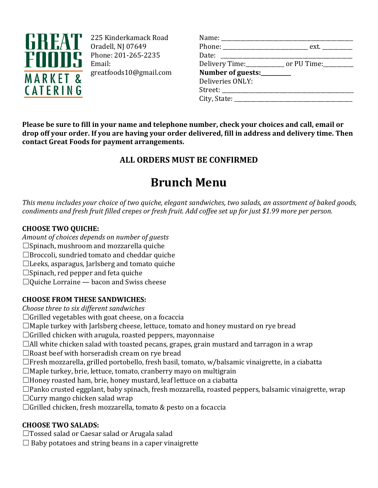

225 Kinderkamack Road Oradell, NJ 07649 Phone: 201-265-2235 Email: greatfoods10@gmail.com

| Name: ____________________            |                                                          |
|---------------------------------------|----------------------------------------------------------|
|                                       | Phone: _________________________________ ext. __________ |
| Date: ________________________        |                                                          |
|                                       | Delivery Time:_____________ or PU Time:_________         |
| Number of guests:________             |                                                          |
| Deliveries ONLY:                      |                                                          |
| Street: _____________________________ |                                                          |
| City, State: ____________________     |                                                          |
|                                       |                                                          |

**Please be sure to fill in your name and telephone number, check your choices and call, email or drop off your order. If you are having your order delivered, fill in address and delivery time. Then contact Great Foods for payment arrangements.**

# **ALL ORDERS MUST BE CONFIRMED**

# **Brunch Menu**

*This menu includes your choice of two quiche, elegant sandwiches, two salads, an assortment of baked goods, condiments and fresh fruit filled crepes or fresh fruit. Add coffee set up for just \$1.99 more per person.*

# **CHOOSE TWO QUICHE:**

- *Amount of choices depends on number of guests*
- $\square$ Spinach, mushroom and mozzarella quiche
- $\Box$  Broccoli, sundried tomato and cheddar quiche
- ☐ Leeks, asparagus, Jarlsberg and tomato quiche
- $\square$  Spinach, red pepper and feta quiche
- $\Box$ Quiche Lorraine bacon and Swiss cheese

# **CHOOSE FROM THESE SANDWICHES:**

- *Choose three to six different sandwiches*
- $\Box$  Grilled vegetables with goat cheese, on a focaccia
- $\Box$ Maple turkey with Jarlsberg cheese, lettuce, tomato and honey mustard on rye bread
- $\Box$ Grilled chicken with arugula, roasted peppers, mayonnaise
- $\Box$  All white chicken salad with toasted pecans, grapes, grain mustard and tarragon in a wrap
- $\Box$  Roast beef with horseradish cream on rye bread
- $\Box$  Fresh mozzarella, grilled portobello, fresh basil, tomato, w/balsamic vinaigrette, in a ciabatta
- $\Box$ Maple turkey, brie, lettuce, tomato, cranberry mayo on multigrain
- $\Box$  Honey roasted ham, brie, honey mustard, leaf lettuce on a ciabatta
- $\Box$ Panko crusted eggplant, baby spinach, fresh mozzarella, roasted peppers, balsamic vinaigrette, wrap
- $\Box$  Curry mango chicken salad wrap
- $\Box$ Grilled chicken, fresh mozzarella, tomato & pesto on a focaccia

# **CHOOSE TWO SALADS:**

- □ Tossed salad or Caesar salad or Arugala salad
- $\Box$  Baby potatoes and string beans in a caper vinaigrette